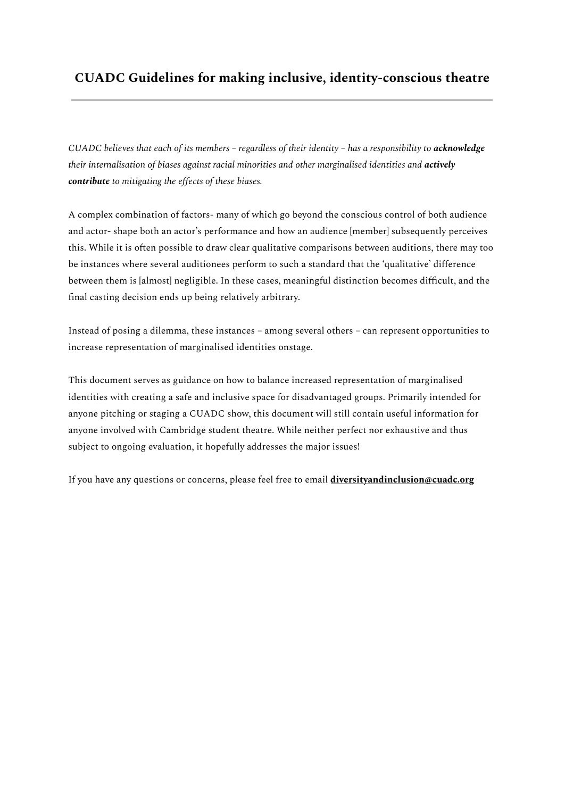# **CUADC Guidelines for making inclusive, identity-conscious theatre**

CUADC believes that each of its members - regardless of their identity - has a responsibility to acknowledge *their internalisation of biases against racial minorities and other marginalised identities and actively contribute to mitigating the effects of these biases.*

A complex combination of factors- many of which go beyond the conscious control of both audience and actor- shape both an actor's performance and how an audience [member] subsequently perceives this. While it is often possible to draw clear qualitative comparisons between auditions, there may too be instances where several auditionees perform to such a standard that the 'qualitative' difference between them is [almost] negligible. In these cases, meaningful distinction becomes difficult, and the final casting decision ends up being relatively arbitrary.

Instead of posing a dilemma, these instances – among several others – can represent opportunities to increase representation of marginalised identities onstage.

This document serves as guidance on how to balance increased representation of marginalised identities with creating a safe and inclusive space for disadvantaged groups. Primarily intended for anyone pitching or staging a CUADC show, this document will still contain useful information for anyone involved with Cambridge student theatre. While neither perfect nor exhaustive and thus subject to ongoing evaluation, it hopefully addresses the major issues!

If you have any questions or concerns, please feel free to email **diversityandinclusion@cuadc.org**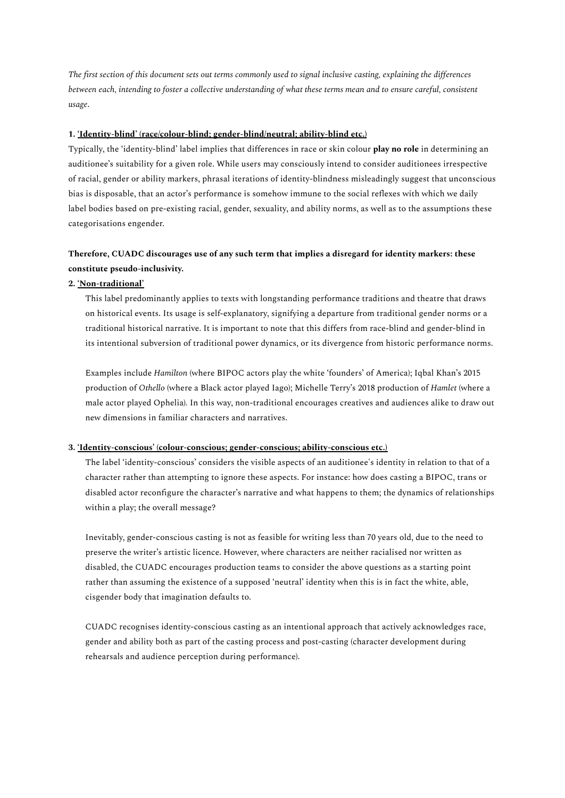The first section of this document sets out terms commonly used to signal inclusive casting, explaining the differences between each, intending to foster a collective understanding of what these terms mean and to ensure careful, consistent *usage*.

#### **1. 'Identity-blind' (race/colour-blind; gender-blind/neutral; ability-blind etc.)**

Typically, the 'identity-blind' label implies that differences in race or skin colour **play no role** in determining an auditionee's suitability for a given role. While users may consciously intend to consider auditionees irrespective of racial, gender or ability markers, phrasal iterations of identity-blindness misleadingly suggest that unconscious bias is disposable, that an actor's performance is somehow immune to the social reflexes with which we daily label bodies based on pre-existing racial, gender, sexuality, and ability norms, as well as to the assumptions these categorisations engender.

# **Therefore, CUADC discourages use of any such term that implies a disregard for identity markers: these constitute pseudo-inclusivity.**

#### **2. 'Non-traditional'**

This label predominantly applies to texts with longstanding performance traditions and theatre that draws on historical events. Its usage is self-explanatory, signifying a departure from traditional gender norms or a traditional historical narrative. It is important to note that this differs from race-blind and gender-blind in its intentional subversion of traditional power dynamics, or its divergence from historic performance norms.

Examples include *Hamilton* (where BIPOC actors play the white 'founders' of America); Iqbal Khan's 2015 production of *Othello* (where a Black actor played Iago); Michelle Terry's 2018 production of *Hamlet* (where a male actor played Ophelia)*.* In this way, non-traditional encourages creatives and audiences alike to draw out new dimensions in familiar characters and narratives.

#### **3. 'Identity-conscious' (colour-conscious; gender-conscious; ability-conscious etc.)**

The label 'identity-conscious' considers the visible aspects of an auditionee's identity in relation to that of a character rather than attempting to ignore these aspects. For instance: how does casting a BIPOC, trans or disabled actor reconfigure the character's narrative and what happens to them; the dynamics of relationships within a play; the overall message?

Inevitably, gender-conscious casting is not as feasible for writing less than 70 years old, due to the need to preserve the writer's artistic licence. However, where characters are neither racialised nor written as disabled, the CUADC encourages production teams to consider the above questions as a starting point rather than assuming the existence of a supposed 'neutral' identity when this is in fact the white, able, cisgender body that imagination defaults to.

CUADC recognises identity-conscious casting as an intentional approach that actively acknowledges race, gender and ability both as part of the casting process and post-casting (character development during rehearsals and audience perception during performance).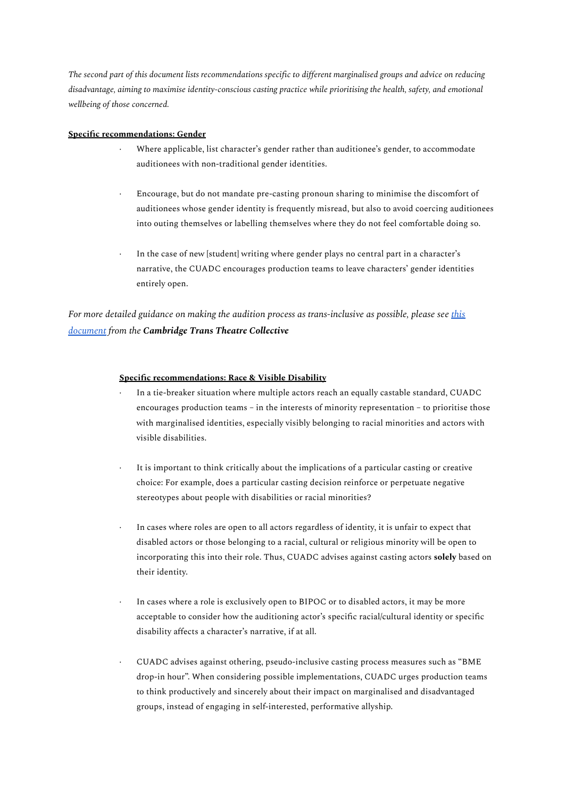The second part of this document lists recommendations specific to different marginalised groups and advice on reducing *disadvantage, aiming to maximise identity-conscious casting practice while prioritising the health, safety, and emotional wellbeing of those concerned.*

### **Specific recommendations: Gender**

- Where applicable, list character's gender rather than auditionee's gender, to accommodate auditionees with non-traditional gender identities.
- · Encourage, but do not mandate pre-casting pronoun sharing to minimise the discomfort of auditionees whose gender identity is frequently misread, but also to avoid coercing auditionees into outing themselves or labelling themselves where they do not feel comfortable doing so.
- In the case of new [student] writing where gender plays no central part in a character's narrative, the CUADC encourages production teams to leave characters' gender identities entirely open.

*For more detailed guidance on making the audition process as trans-inclusive as possible, please see [this](https://docs.google.com/document/d/1hZ4xFLYOFeDBz3nc468GaZdHA5cRwpfw8Mz3e_2ayQI/edit?usp=sharing&fbclid=IwAR0ylprM3UWncFQ0d_dtxGJwYs59yF_w4PUo4VsfX68gXwc9YMIi3eTC5nk) [document](https://docs.google.com/document/d/1hZ4xFLYOFeDBz3nc468GaZdHA5cRwpfw8Mz3e_2ayQI/edit?usp=sharing&fbclid=IwAR0ylprM3UWncFQ0d_dtxGJwYs59yF_w4PUo4VsfX68gXwc9YMIi3eTC5nk) from the Cambridge Trans Theatre Collective*

## **Specific recommendations: Race & Visible Disability**

- · In a tie-breaker situation where multiple actors reach an equally castable standard, CUADC encourages production teams – in the interests of minority representation – to prioritise those with marginalised identities, especially visibly belonging to racial minorities and actors with visible disabilities.
- It is important to think critically about the implications of a particular casting or creative choice: For example, does a particular casting decision reinforce or perpetuate negative stereotypes about people with disabilities or racial minorities?
- In cases where roles are open to all actors regardless of identity, it is unfair to expect that disabled actors or those belonging to a racial, cultural or religious minority will be open to incorporating this into their role. Thus, CUADC advises against casting actors **solely** based on their identity.
- In cases where a role is exclusively open to BIPOC or to disabled actors, it may be more acceptable to consider how the auditioning actor's specific racial/cultural identity or specific disability affects a character's narrative, if at all.
- · CUADC advises against othering, pseudo-inclusive casting process measures such as "BME drop-in hour". When considering possible implementations, CUADC urges production teams to think productively and sincerely about their impact on marginalised and disadvantaged groups, instead of engaging in self-interested, performative allyship.